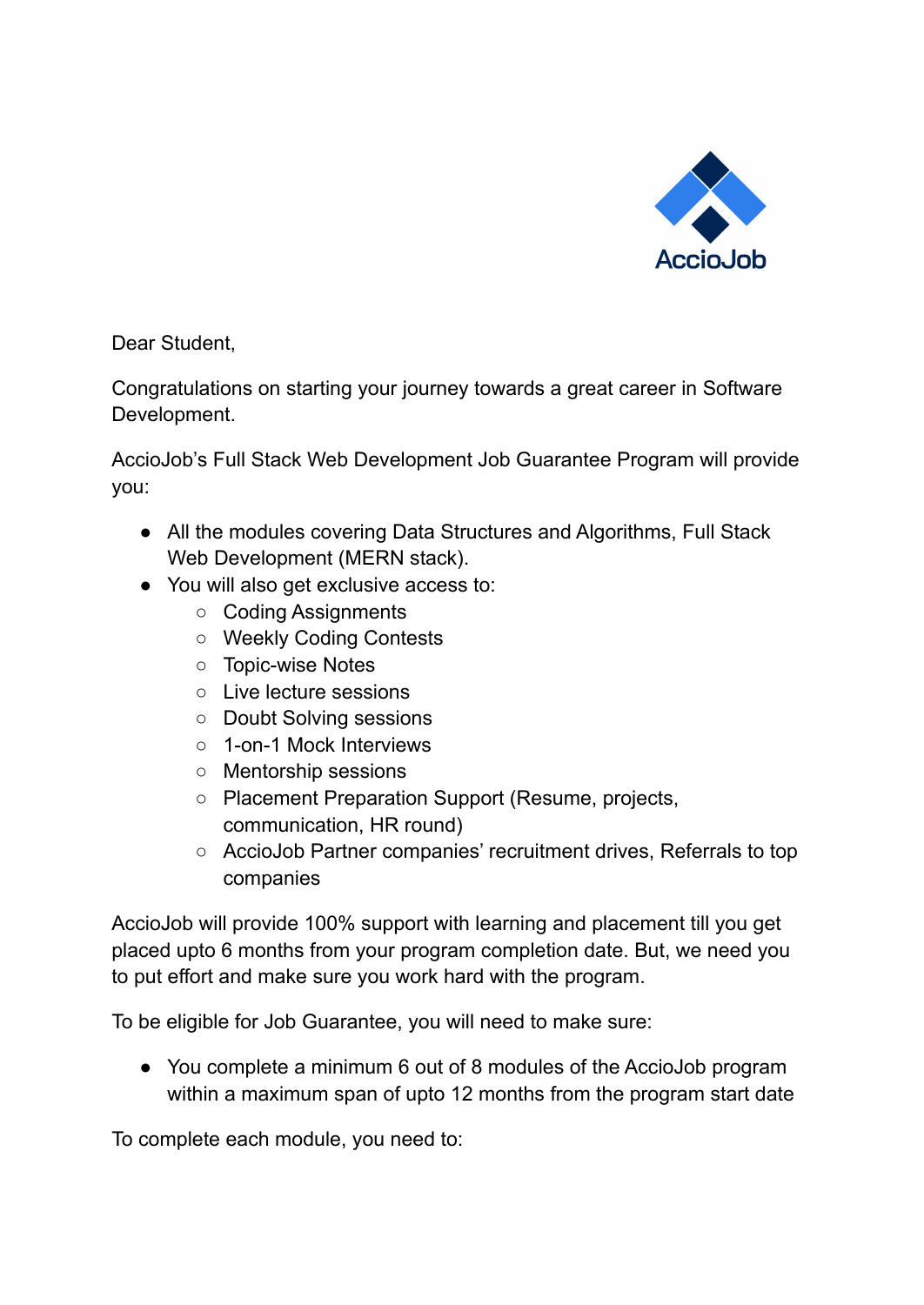

Dear Student,

Congratulations on starting your journey towards a great career in Software Development.

AccioJob's Full Stack Web Development Job Guarantee Program will provide you:

- All the modules covering Data Structures and Algorithms, Full Stack Web Development (MERN stack).
- You will also get exclusive access to:
	- Coding Assignments
	- Weekly Coding Contests
	- Topic-wise Notes
	- Live lecture sessions
	- Doubt Solving sessions
	- 1-on-1 Mock Interviews
	- Mentorship sessions
	- Placement Preparation Support (Resume, projects, communication, HR round)
	- AccioJob Partner companies' recruitment drives, Referrals to top companies

AccioJob will provide 100% support with learning and placement till you get placed upto 6 months from your program completion date. But, we need you to put effort and make sure you work hard with the program.

To be eligible for Job Guarantee, you will need to make sure:

● You complete a minimum 6 out of 8 modules of the AccioJob program within a maximum span of upto 12 months from the program start date

To complete each module, you need to: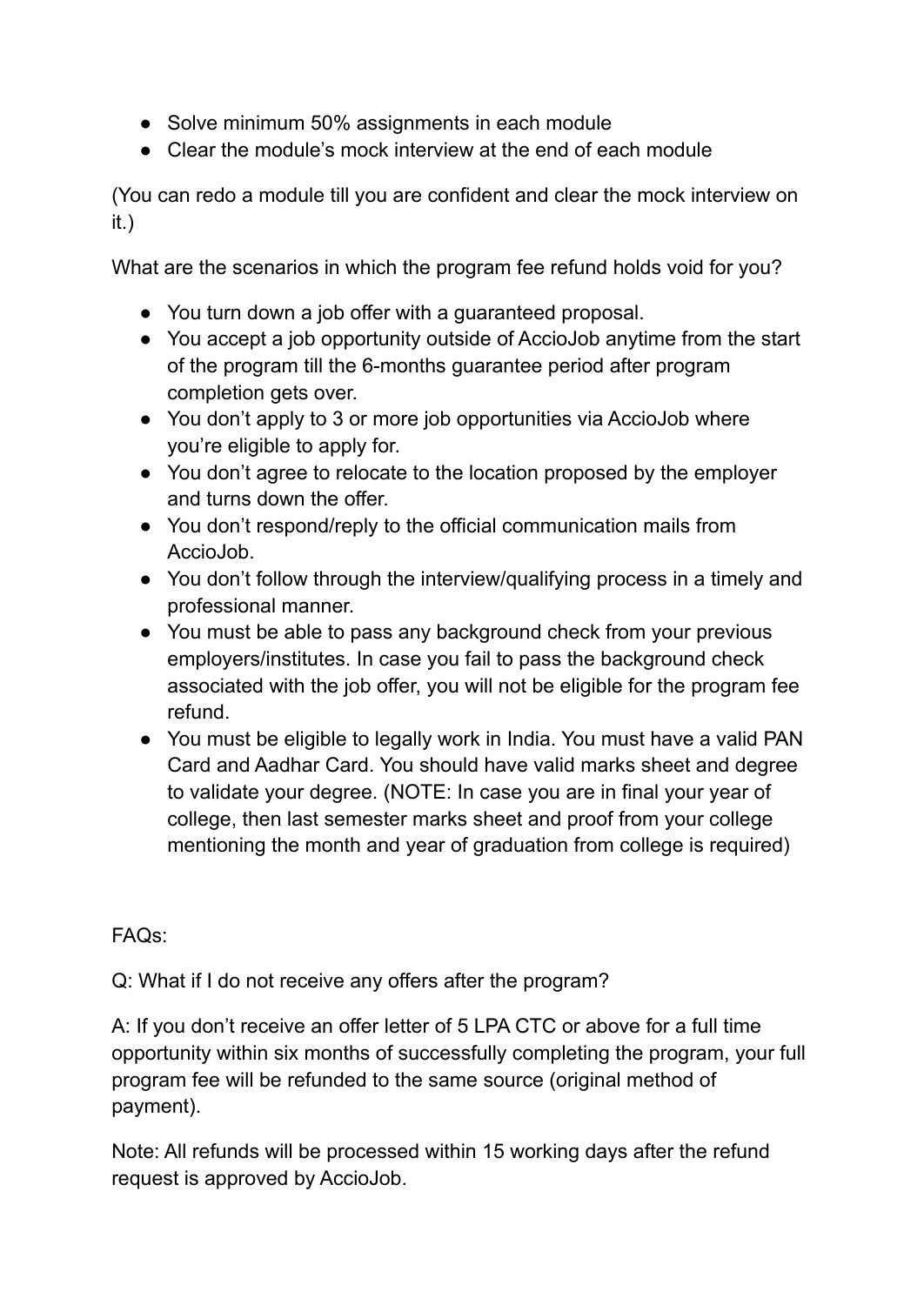- Solve minimum 50% assignments in each module
- Clear the module's mock interview at the end of each module

(You can redo a module till you are confident and clear the mock interview on it.)

What are the scenarios in which the program fee refund holds void for you?

- You turn down a job offer with a guaranteed proposal.
- You accept a job opportunity outside of AccioJob anytime from the start of the program till the 6-months guarantee period after program completion gets over.
- You don't apply to 3 or more job opportunities via AccioJob where you're eligible to apply for.
- You don't agree to relocate to the location proposed by the employer and turns down the offer.
- You don't respond/reply to the official communication mails from AccioJob.
- You don't follow through the interview/qualifying process in a timely and professional manner.
- You must be able to pass any background check from your previous employers/institutes. In case you fail to pass the background check associated with the job offer, you will not be eligible for the program fee refund.
- You must be eligible to legally work in India. You must have a valid PAN Card and Aadhar Card. You should have valid marks sheet and degree to validate your degree. (NOTE: In case you are in final your year of college, then last semester marks sheet and proof from your college mentioning the month and year of graduation from college is required)

FAQs:

Q: What if I do not receive any offers after the program?

A: If you don't receive an offer letter of 5 LPA CTC or above for a full time opportunity within six months of successfully completing the program, your full program fee will be refunded to the same source (original method of payment).

Note: All refunds will be processed within 15 working days after the refund request is approved by AccioJob.